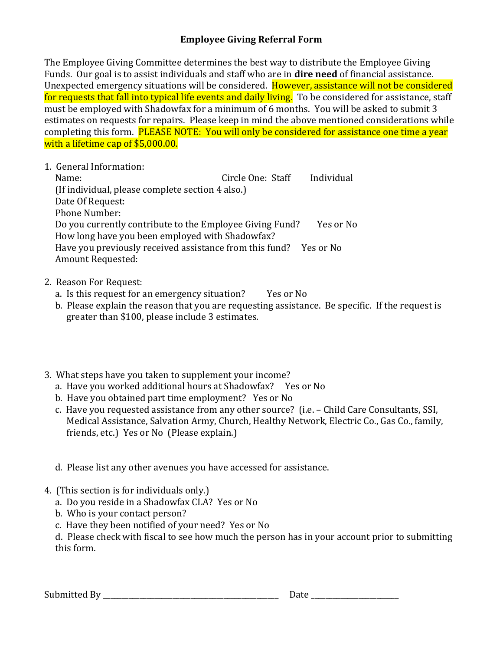## **Employee Giving Referral Form**

The Employee Giving Committee determines the best way to distribute the Employee Giving Funds. Our goal is to assist individuals and staff who are in **dire need** of financial assistance. Unexpected emergency situations will be considered. However, assistance will not be considered for requests that fall into typical life events and daily living. To be considered for assistance, staff must be employed with Shadowfax for a minimum of 6 months. You will be asked to submit 3 estimates on requests for repairs. Please keep in mind the above mentioned considerations while completing this form. PLEASE NOTE: You will only be considered for assistance one time a year with a lifetime cap of \$5,000.00.

1. General Information:

 Name: Circle One: Staff Individual (If individual, please complete section 4 also.) Date Of Request: Phone Number: Do you currently contribute to the Employee Giving Fund? Yes or No How long have you been employed with Shadowfax? Have you previously received assistance from this fund? Yes or No Amount Requested:

## 2. Reason For Request:

- a. Is this request for an emergency situation? Yes or No
- b. Please explain the reason that you are requesting assistance. Be specific. If the request is greater than \$100, please include 3 estimates.
- 3. What steps have you taken to supplement your income?
	- a. Have you worked additional hours at Shadowfax? Yes or No
	- b. Have you obtained part time employment? Yes or No
	- c. Have you requested assistance from any other source? (i.e. Child Care Consultants, SSI, Medical Assistance, Salvation Army, Church, Healthy Network, Electric Co., Gas Co., family, friends, etc.) Yes or No (Please explain.)
	- d. Please list any other avenues you have accessed for assistance.
- 4. (This section is for individuals only.)
	- a. Do you reside in a Shadowfax CLA? Yes or No
	- b. Who is your contact person?
	- c. Have they been notified of your need? Yes or No
	- d. Please check with fiscal to see how much the person has in your account prior to submitting this form.

Submitted By \_\_\_\_\_\_\_\_\_\_\_\_\_\_\_\_\_\_\_\_\_\_\_\_\_\_\_\_\_\_\_\_\_\_\_\_\_\_\_\_\_\_\_\_\_\_\_\_ Date \_\_\_\_\_\_\_\_\_\_\_\_\_\_\_\_\_\_\_\_\_\_\_\_